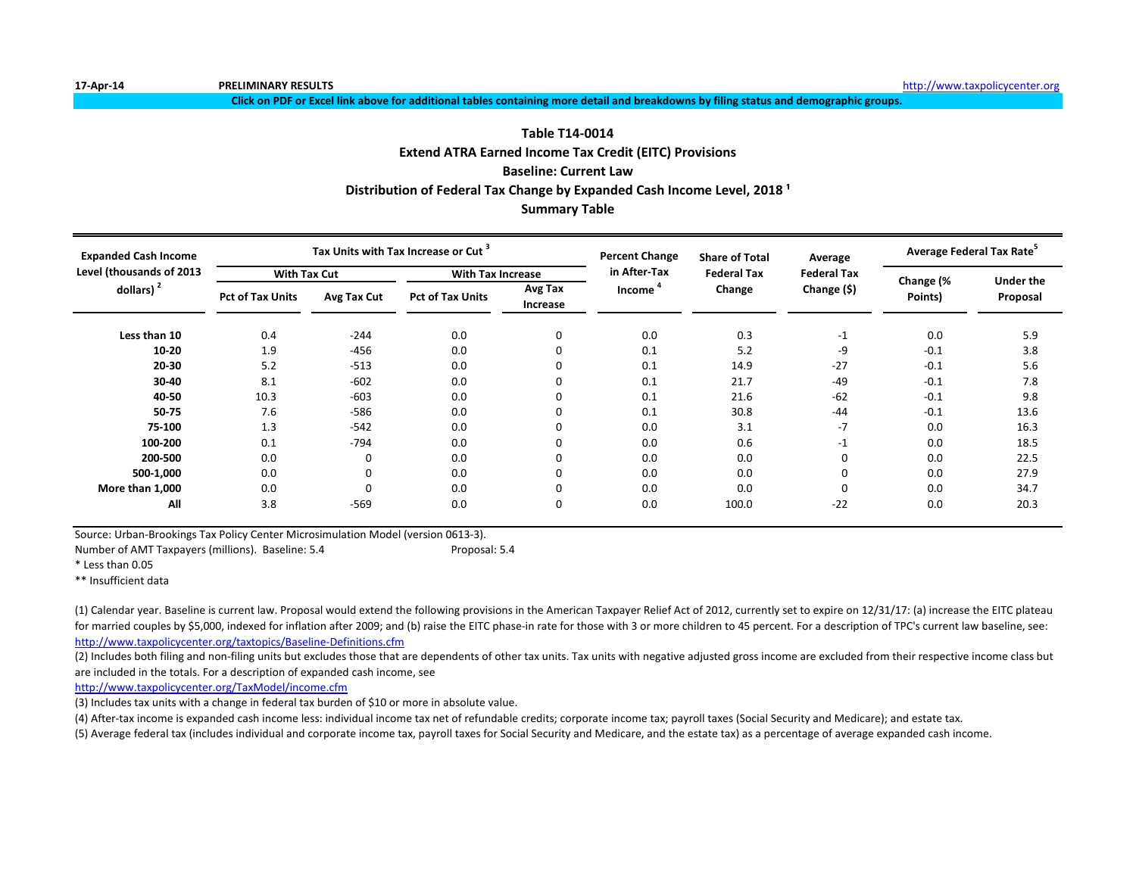**Click on PDF or Excel link above for additional tables containing more detail and breakdowns by filing status and demographic groups.**

# **Extend ATRA Earned Income Tax Credit (EITC) Provisions Baseline: Current Law Table T14-0014** Distribution of Federal Tax Change by Expanded Cash Income Level, 2018<sup>1</sup>

## **Summary Table**

| <b>Expanded Cash Income</b> |                         |             | Tax Units with Tax Increase or Cut |                     | <b>Percent Change</b> | <b>Share of Total</b> | Average            | Average Federal Tax Rate <sup>3</sup> |                              |
|-----------------------------|-------------------------|-------------|------------------------------------|---------------------|-----------------------|-----------------------|--------------------|---------------------------------------|------------------------------|
| Level (thousands of 2013    | <b>With Tax Cut</b>     |             | <b>With Tax Increase</b>           |                     | in After-Tax          | <b>Federal Tax</b>    | <b>Federal Tax</b> |                                       |                              |
| dollars) $2$                | <b>Pct of Tax Units</b> | Avg Tax Cut | <b>Pct of Tax Units</b>            | Avg Tax<br>Increase | Income                | Change                | Change (\$)        | Change (%<br>Points)                  | <b>Under the</b><br>Proposal |
| Less than 10                | 0.4                     | $-244$      | 0.0                                | 0                   | 0.0                   | 0.3                   | $-1$               | 0.0                                   | 5.9                          |
| $10 - 20$                   | 1.9                     | $-456$      | 0.0                                |                     | 0.1                   | 5.2                   | -9                 | $-0.1$                                | 3.8                          |
| 20-30                       | 5.2                     | $-513$      | 0.0                                |                     | 0.1                   | 14.9                  | $-27$              | $-0.1$                                | 5.6                          |
| 30-40                       | 8.1                     | $-602$      | 0.0                                |                     | 0.1                   | 21.7                  | -49                | $-0.1$                                | 7.8                          |
| 40-50                       | 10.3                    | $-603$      | 0.0                                |                     | 0.1                   | 21.6                  | $-62$              | $-0.1$                                | 9.8                          |
| 50-75                       | 7.6                     | $-586$      | 0.0                                |                     | 0.1                   | 30.8                  | $-44$              | $-0.1$                                | 13.6                         |
| 75-100                      | 1.3                     | $-542$      | 0.0                                |                     | 0.0                   | 3.1                   | $-7$               | 0.0                                   | 16.3                         |
| 100-200                     | 0.1                     | $-794$      | 0.0                                |                     | 0.0                   | 0.6                   | $-1$               | 0.0                                   | 18.5                         |
| 200-500                     | 0.0                     | $\Omega$    | 0.0                                |                     | 0.0                   | 0.0                   | 0                  | 0.0                                   | 22.5                         |
| 500-1,000                   | 0.0                     | 0           | 0.0                                |                     | 0.0                   | 0.0                   | 0                  | 0.0                                   | 27.9                         |
| More than 1,000             | 0.0                     | $\mathbf 0$ | 0.0                                |                     | 0.0                   | 0.0                   | 0                  | 0.0                                   | 34.7                         |
| All                         | 3.8                     | $-569$      | 0.0                                |                     | 0.0                   | 100.0                 | $-22$              | 0.0                                   | 20.3                         |

Source: Urban-Brookings Tax Policy Center Microsimulation Model (version 0613-3).

Number of AMT Taxpayers (millions). Baseline: 5.4 Proposal: 5.4

\* Less than 0.05

\*\* Insufficient data

<http://www.taxpolicycenter.org/taxtopics/Baseline-Definitions.cfm> (1) Calendar year. Baseline is current law. Proposal would extend the following provisions in the American Taxpayer Relief Act of 2012, currently set to expire on 12/31/17: (a) increase the EITC plateau for married couples by \$5,000, indexed for inflation after 2009; and (b) raise the EITC phase-in rate for those with 3 or more children to 45 percent. For a description of TPC's current law baseline, see:

(2) Includes both filing and non-filing units but excludes those that are dependents of other tax units. Tax units with negative adjusted gross income are excluded from their respective income class but are included in the totals. For a description of expanded cash income, see

[http://www.taxpolicycente](http://www.taxpolicycenter.org/TaxModel/income.cfm)r.org/TaxModel/income.cfm

(3) Includes tax units with a change in federal tax burden of \$10 or more in absolute value.

(4) After-tax income is expanded cash income less: individual income tax net of refundable credits; corporate income tax; payroll taxes (Social Security and Medicare); and estate tax.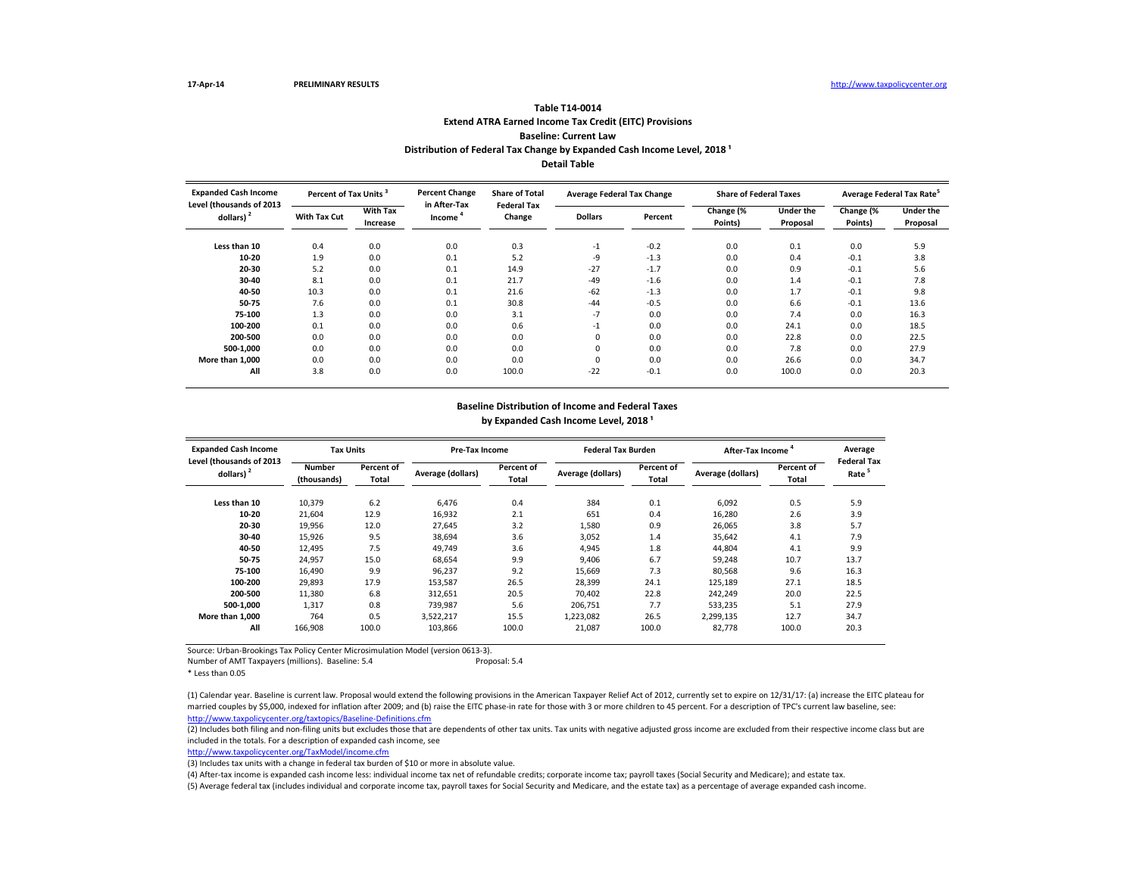## **Extend ATRA Earned Income Tax Credit (EITC) Provisions Baseline: Current Law Table T14-0014** Distribution of Federal Tax Change by Expanded Cash Income Level, 2018<sup>1</sup> **Detail Table**

| <b>Expanded Cash Income</b><br>Level (thousands of 2013 | Percent of Tax Units <sup>3</sup> |                             | <b>Percent Change</b><br>in After-Tax | <b>Share of Total</b><br><b>Federal Tax</b> | <b>Average Federal Tax Change</b> |         | <b>Share of Federal Taxes</b> |                       | Average Federal Tax Rate <sup>5</sup> |                              |
|---------------------------------------------------------|-----------------------------------|-----------------------------|---------------------------------------|---------------------------------------------|-----------------------------------|---------|-------------------------------|-----------------------|---------------------------------------|------------------------------|
| dollars) <sup>2</sup>                                   | <b>With Tax Cut</b>               | <b>With Tax</b><br>Increase | Income                                | Change                                      | <b>Dollars</b>                    | Percent | Change (%<br>Points)          | Under the<br>Proposal | Change (%<br>Points)                  | <b>Under the</b><br>Proposal |
| Less than 10                                            | 0.4                               | 0.0                         | 0.0                                   | 0.3                                         | $-1$                              | $-0.2$  | 0.0                           | 0.1                   | 0.0                                   | 5.9                          |
| 10-20                                                   | 1.9                               | 0.0                         | 0.1                                   | 5.2                                         | -9                                | $-1.3$  | 0.0                           | 0.4                   | $-0.1$                                | 3.8                          |
| 20-30                                                   | 5.2                               | 0.0                         | 0.1                                   | 14.9                                        | $-27$                             | $-1.7$  | 0.0                           | 0.9                   | $-0.1$                                | 5.6                          |
| 30-40                                                   | 8.1                               | 0.0                         | 0.1                                   | 21.7                                        | $-49$                             | $-1.6$  | 0.0                           | 1.4                   | $-0.1$                                | 7.8                          |
| 40-50                                                   | 10.3                              | 0.0                         | 0.1                                   | 21.6                                        | $-62$                             | $-1.3$  | 0.0                           | 1.7                   | $-0.1$                                | 9.8                          |
| 50-75                                                   | 7.6                               | 0.0                         | 0.1                                   | 30.8                                        | $-44$                             | $-0.5$  | 0.0                           | 6.6                   | $-0.1$                                | 13.6                         |
| 75-100                                                  | 1.3                               | 0.0                         | 0.0                                   | 3.1                                         | $-7$                              | 0.0     | 0.0                           | 7.4                   | 0.0                                   | 16.3                         |
| 100-200                                                 | 0.1                               | 0.0                         | 0.0                                   | 0.6                                         | $-1$                              | 0.0     | 0.0                           | 24.1                  | 0.0                                   | 18.5                         |
| 200-500                                                 | 0.0                               | 0.0                         | 0.0                                   | 0.0                                         | 0                                 | 0.0     | 0.0                           | 22.8                  | 0.0                                   | 22.5                         |
| 500-1.000                                               | 0.0                               | 0.0                         | 0.0                                   | 0.0                                         | 0                                 | 0.0     | 0.0                           | 7.8                   | 0.0                                   | 27.9                         |
| More than 1.000                                         | 0.0                               | 0.0                         | 0.0                                   | 0.0                                         | 0                                 | 0.0     | 0.0                           | 26.6                  | 0.0                                   | 34.7                         |
| All                                                     | 3.8                               | 0.0                         | 0.0                                   | 100.0                                       | $-22$                             | $-0.1$  | 0.0                           | 100.0                 | 0.0                                   | 20.3                         |

## **Baseline Distribution of Income and Federal Taxes** by Expanded Cash Income Level, 2018<sup>1</sup>

| <b>Expanded Cash Income</b><br>Level (thousands of 2013 | <b>Tax Units</b>             |                     | Pre-Tax Income    |                     | <b>Federal Tax Burden</b> |                     | <b>After-Tax Income</b> |                     | Average<br><b>Federal Tax</b> |
|---------------------------------------------------------|------------------------------|---------------------|-------------------|---------------------|---------------------------|---------------------|-------------------------|---------------------|-------------------------------|
| dollars) $2$                                            | <b>Number</b><br>(thousands) | Percent of<br>Total | Average (dollars) | Percent of<br>Total | Average (dollars)         | Percent of<br>Total | Average (dollars)       | Percent of<br>Total | Rate                          |
| Less than 10                                            | 10,379                       | 6.2                 | 6.476             | 0.4                 | 384                       | 0.1                 | 6.092                   | 0.5                 | 5.9                           |
| 10-20                                                   | 21,604                       | 12.9                | 16,932            | 2.1                 | 651                       | 0.4                 | 16,280                  | 2.6                 | 3.9                           |
| 20-30                                                   | 19,956                       | 12.0                | 27.645            | 3.2                 | 1,580                     | 0.9                 | 26,065                  | 3.8                 | 5.7                           |
| 30-40                                                   | 15,926                       | 9.5                 | 38,694            | 3.6                 | 3,052                     | 1.4                 | 35,642                  | 4.1                 | 7.9                           |
| 40-50                                                   | 12,495                       | 7.5                 | 49,749            | 3.6                 | 4,945                     | 1.8                 | 44,804                  | 4.1                 | 9.9                           |
| 50-75                                                   | 24,957                       | 15.0                | 68,654            | 9.9                 | 9,406                     | 6.7                 | 59,248                  | 10.7                | 13.7                          |
| 75-100                                                  | 16,490                       | 9.9                 | 96,237            | 9.2                 | 15,669                    | 7.3                 | 80,568                  | 9.6                 | 16.3                          |
| 100-200                                                 | 29,893                       | 17.9                | 153,587           | 26.5                | 28,399                    | 24.1                | 125,189                 | 27.1                | 18.5                          |
| 200-500                                                 | 11,380                       | 6.8                 | 312.651           | 20.5                | 70.402                    | 22.8                | 242,249                 | 20.0                | 22.5                          |
| 500-1.000                                               | 1.317                        | 0.8                 | 739.987           | 5.6                 | 206.751                   | 7.7                 | 533.235                 | 5.1                 | 27.9                          |
| More than 1.000                                         | 764                          | 0.5                 | 3.522.217         | 15.5                | 1,223,082                 | 26.5                | 2.299.135               | 12.7                | 34.7                          |
| All                                                     | 166,908                      | 100.0               | 103,866           | 100.0               | 21,087                    | 100.0               | 82,778                  | 100.0               | 20.3                          |

Source: Urban-Brookings Tax Policy Center Microsimulation Model (version 0613-3).

Number of AMT Taxpayers (millions). Baseline: 5.4 Proposal: 5.4

\* Less than 0.05

<http://www.taxpolicycenter.org/taxtopics/Baseline-Definitions.cfm> (1) Calendar year. Baseline is current law. Proposal would extend the following provisions in the American Taxpayer Relief Act of 2012, currently set to expire on 12/31/17: (a) increase the EITC plateau for married couples by \$5,000, indexed for inflation after 2009; and (b) raise the EITC phase-in rate for those with 3 or more children to 45 percent. For a description of TPC's current law baseline, see:

(2) Includes both filing and non-filing units but excludes those that are dependents of other tax units. Tax units with negative adjusted gross income are excluded from their respective income class but are included in the totals. For a description of expanded cash income, see

[http://www.taxpolicycente](http://www.taxpolicycenter.org/TaxModel/income.cfm)r.org/TaxModel/income.cfm

(3) Includes tax units with a change in federal tax burden of \$10 or more in absolute value.

(4) After-tax income is expanded cash income less: individual income tax net of refundable credits; corporate income tax; payroll taxes (Social Security and Medicare); and estate tax.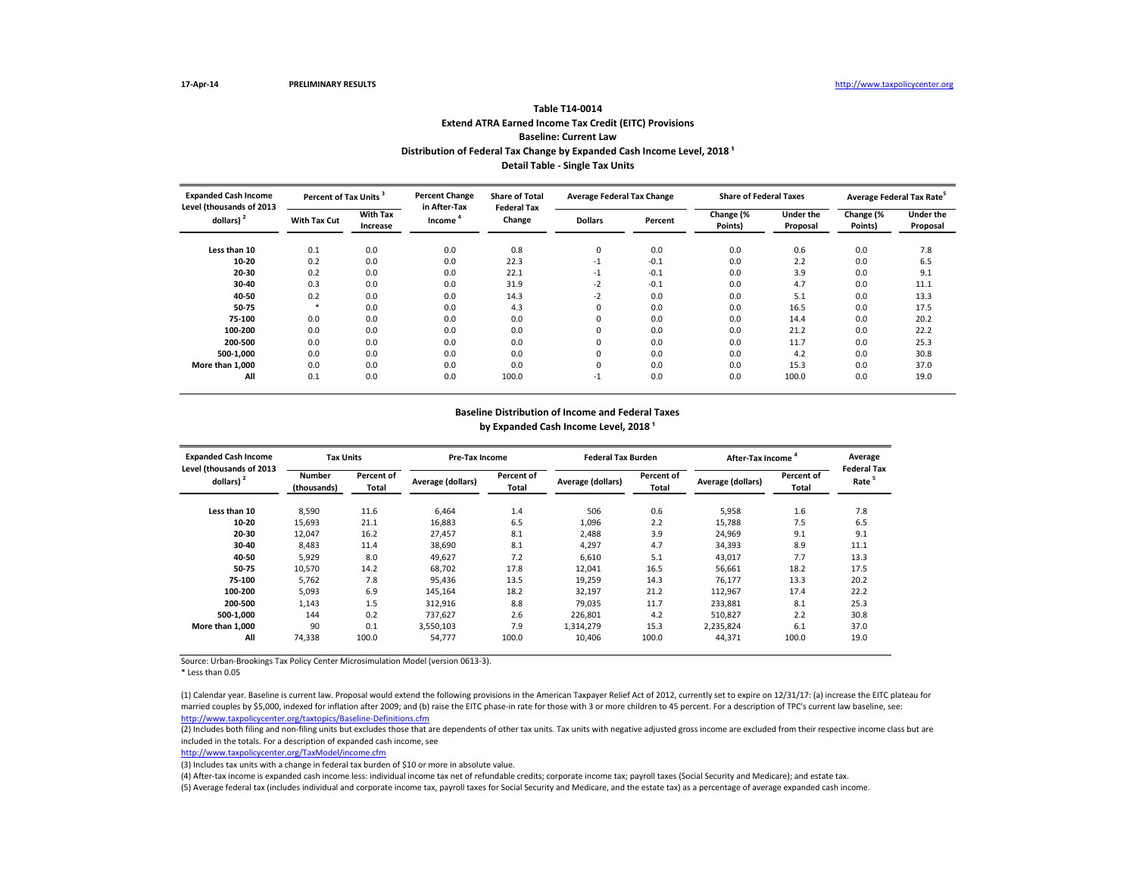# **Extend ATRA Earned Income Tax Credit (EITC) Provisions Baseline: Current Law Table T14-0014** Distribution of Federal Tax Change by Expanded Cash Income Level, 2018<sup>1</sup> **Detail Table - Single Tax Units**

| <b>Expanded Cash Income</b><br>Level (thousands of 2013 | Percent of Tax Units <sup>3</sup> |                             | <b>Percent Change</b><br>in After-Tax | <b>Share of Total</b><br><b>Federal Tax</b> | <b>Average Federal Tax Change</b> |         | <b>Share of Federal Taxes</b> |                              | Average Federal Tax Rate <sup>5</sup> |                              |  |
|---------------------------------------------------------|-----------------------------------|-----------------------------|---------------------------------------|---------------------------------------------|-----------------------------------|---------|-------------------------------|------------------------------|---------------------------------------|------------------------------|--|
| dollars) <sup>2</sup>                                   | <b>With Tax Cut</b>               | <b>With Tax</b><br>Increase | Income <sup>'</sup>                   | Change                                      | <b>Dollars</b>                    | Percent | Change (%<br>Points)          | <b>Under the</b><br>Proposal | Change (%<br>Points)                  | <b>Under the</b><br>Proposal |  |
| Less than 10                                            | 0.1                               | 0.0                         | 0.0                                   | 0.8                                         | 0                                 | 0.0     | 0.0                           | 0.6                          | 0.0                                   | 7.8                          |  |
| 10-20                                                   | 0.2                               | 0.0                         | 0.0                                   | 22.3                                        | $-1$                              | $-0.1$  | 0.0                           | 2.2                          | 0.0                                   | 6.5                          |  |
| 20-30                                                   | 0.2                               | 0.0                         | 0.0                                   | 22.1                                        | $-1$                              | $-0.1$  | 0.0                           | 3.9                          | 0.0                                   | 9.1                          |  |
| 30-40                                                   | 0.3                               | 0.0                         | 0.0                                   | 31.9                                        | $-2$                              | $-0.1$  | 0.0                           | 4.7                          | 0.0                                   | 11.1                         |  |
| 40-50                                                   | 0.2                               | 0.0                         | 0.0                                   | 14.3                                        | $-2$                              | 0.0     | 0.0                           | 5.1                          | 0.0                                   | 13.3                         |  |
| 50-75                                                   | $\ast$                            | 0.0                         | 0.0                                   | 4.3                                         | 0                                 | 0.0     | 0.0                           | 16.5                         | 0.0                                   | 17.5                         |  |
| 75-100                                                  | 0.0                               | 0.0                         | 0.0                                   | 0.0                                         | 0                                 | 0.0     | 0.0                           | 14.4                         | 0.0                                   | 20.2                         |  |
| 100-200                                                 | 0.0                               | 0.0                         | 0.0                                   | 0.0                                         | 0                                 | 0.0     | 0.0                           | 21.2                         | 0.0                                   | 22.2                         |  |
| 200-500                                                 | 0.0                               | 0.0                         | 0.0                                   | 0.0                                         | 0                                 | 0.0     | 0.0                           | 11.7                         | 0.0                                   | 25.3                         |  |
| 500-1.000                                               | 0.0                               | 0.0                         | 0.0                                   | 0.0                                         | 0                                 | 0.0     | 0.0                           | 4.2                          | 0.0                                   | 30.8                         |  |
| More than 1.000                                         | 0.0                               | 0.0                         | 0.0                                   | 0.0                                         | 0                                 | 0.0     | 0.0                           | 15.3                         | 0.0                                   | 37.0                         |  |
| All                                                     | 0.1                               | 0.0                         | 0.0                                   | 100.0                                       | $-1$                              | 0.0     | 0.0                           | 100.0                        | 0.0                                   | 19.0                         |  |

## **Baseline Distribution of Income and Federal Taxes** by Expanded Cash Income Level, 2018<sup>1</sup>

| <b>Expanded Cash Income</b><br>Level (thousands of 2013 | <b>Tax Units</b>             |                     | Pre-Tax Income    |                     | <b>Federal Tax Burden</b> |                     | After-Tax Income  | Average<br><b>Federal Tax</b> |                   |
|---------------------------------------------------------|------------------------------|---------------------|-------------------|---------------------|---------------------------|---------------------|-------------------|-------------------------------|-------------------|
| dollars) $2$                                            | <b>Number</b><br>(thousands) | Percent of<br>Total | Average (dollars) | Percent of<br>Total | Average (dollars)         | Percent of<br>Total | Average (dollars) | Percent of<br>Total           | Rate <sup>5</sup> |
| Less than 10                                            | 8,590                        | 11.6                | 6.464             | 1.4                 | 506                       | 0.6                 | 5,958             | 1.6                           | 7.8               |
| 10-20                                                   | 15,693                       | 21.1                | 16.883            | 6.5                 | 1,096                     | 2.2                 | 15.788            | 7.5                           | 6.5               |
| 20-30                                                   | 12,047                       | 16.2                | 27.457            | 8.1                 | 2,488                     | 3.9                 | 24,969            | 9.1                           | 9.1               |
| 30-40                                                   | 8,483                        | 11.4                | 38.690            | 8.1                 | 4,297                     | 4.7                 | 34,393            | 8.9                           | 11.1              |
| 40-50                                                   | 5,929                        | 8.0                 | 49,627            | 7.2                 | 6,610                     | 5.1                 | 43,017            | 7.7                           | 13.3              |
| 50-75                                                   | 10,570                       | 14.2                | 68.702            | 17.8                | 12,041                    | 16.5                | 56,661            | 18.2                          | 17.5              |
| 75-100                                                  | 5,762                        | 7.8                 | 95.436            | 13.5                | 19,259                    | 14.3                | 76.177            | 13.3                          | 20.2              |
| 100-200                                                 | 5,093                        | 6.9                 | 145,164           | 18.2                | 32,197                    | 21.2                | 112,967           | 17.4                          | 22.2              |
| 200-500                                                 | 1.143                        | 1.5                 | 312.916           | 8.8                 | 79.035                    | 11.7                | 233.881           | 8.1                           | 25.3              |
| 500-1.000                                               | 144                          | 0.2                 | 737.627           | 2.6                 | 226,801                   | 4.2                 | 510.827           | 2.2                           | 30.8              |
| More than 1.000                                         | 90                           | 0.1                 | 3.550.103         | 7.9                 | 1,314,279                 | 15.3                | 2,235,824         | 6.1                           | 37.0              |
| All                                                     | 74,338                       | 100.0               | 54,777            | 100.0               | 10,406                    | 100.0               | 44,371            | 100.0                         | 19.0              |

Source: Urban-Brookings Tax Policy Center Microsimulation Model (version 0613-3).

\* Less than 0.05

<http://www.taxpolicycenter.org/taxtopics/Baseline-Definitions.cfm> (1) Calendar year. Baseline is current law. Proposal would extend the following provisions in the American Taxpayer Relief Act of 2012, currently set to expire on 12/31/17: (a) increase the EITC plateau for married couples by \$5,000, indexed for inflation after 2009; and (b) raise the EITC phase-in rate for those with 3 or more children to 45 percent. For a description of TPC's current law baseline, see:

(2) Includes both filing and non-filing units but excludes those that are dependents of other tax units. Tax units with negative adjusted gross income are excluded from their respective income class but are included in the totals. For a description of expanded cash income, see

[http://www.taxpolicycente](http://www.taxpolicycenter.org/TaxModel/income.cfm)r.org/TaxModel/income.cfm

(3) Includes tax units with a change in federal tax burden of \$10 or more in absolute value.

(4) After-tax income is expanded cash income less: individual income tax net of refundable credits; corporate income tax; payroll taxes (Social Security and Medicare); and estate tax.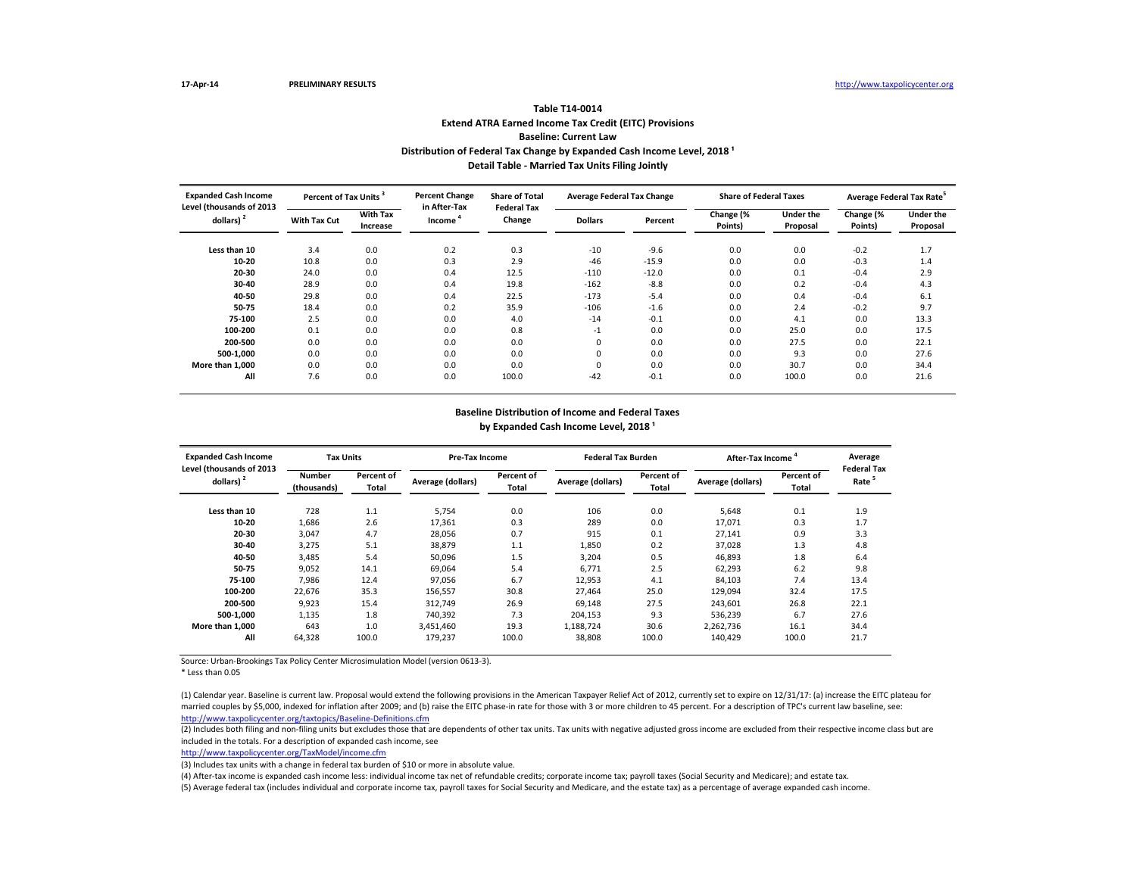# **Extend ATRA Earned Income Tax Credit (EITC) Provisions Baseline: Current Law Table T14-0014** Distribution of Federal Tax Change by Expanded Cash Income Level, 2018<sup>1</sup> **Detail Table - Married Tax Units Filing Jointly**

| <b>Expanded Cash Income</b>              | Percent of Tax Units <sup>3</sup> |                             | <b>Percent Change</b><br>in After-Tax | <b>Share of Total</b><br><b>Federal Tax</b> | <b>Average Federal Tax Change</b> |         | <b>Share of Federal Taxes</b> |                              | Average Federal Tax Rate <sup>5</sup> |                              |  |
|------------------------------------------|-----------------------------------|-----------------------------|---------------------------------------|---------------------------------------------|-----------------------------------|---------|-------------------------------|------------------------------|---------------------------------------|------------------------------|--|
| Level (thousands of 2013<br>dollars) $2$ | <b>With Tax Cut</b>               | <b>With Tax</b><br>Increase | Income <sup>'</sup>                   | Change                                      | <b>Dollars</b>                    | Percent | Change (%<br>Points)          | <b>Under the</b><br>Proposal | Change (%<br>Points)                  | <b>Under the</b><br>Proposal |  |
| Less than 10                             | 3.4                               | 0.0                         | 0.2                                   | 0.3                                         | $-10$                             | $-9.6$  | 0.0                           | 0.0                          | $-0.2$                                | 1.7                          |  |
| 10-20                                    | 10.8                              | 0.0                         | 0.3                                   | 2.9                                         | $-46$                             | $-15.9$ | 0.0                           | 0.0                          | $-0.3$                                | 1.4                          |  |
| 20-30                                    | 24.0                              | 0.0                         | 0.4                                   | 12.5                                        | $-110$                            | $-12.0$ | 0.0                           | 0.1                          | $-0.4$                                | 2.9                          |  |
| 30-40                                    | 28.9                              | 0.0                         | 0.4                                   | 19.8                                        | $-162$                            | $-8.8$  | 0.0                           | 0.2                          | $-0.4$                                | 4.3                          |  |
| 40-50                                    | 29.8                              | 0.0                         | 0.4                                   | 22.5                                        | $-173$                            | $-5.4$  | 0.0                           | 0.4                          | $-0.4$                                | 6.1                          |  |
| 50-75                                    | 18.4                              | 0.0                         | 0.2                                   | 35.9                                        | $-106$                            | $-1.6$  | 0.0                           | 2.4                          | $-0.2$                                | 9.7                          |  |
| 75-100                                   | 2.5                               | 0.0                         | 0.0                                   | 4.0                                         | $-14$                             | $-0.1$  | 0.0                           | 4.1                          | 0.0                                   | 13.3                         |  |
| 100-200                                  | 0.1                               | 0.0                         | 0.0                                   | 0.8                                         | $-1$                              | 0.0     | 0.0                           | 25.0                         | 0.0                                   | 17.5                         |  |
| 200-500                                  | 0.0                               | 0.0                         | 0.0                                   | 0.0                                         | 0                                 | 0.0     | 0.0                           | 27.5                         | 0.0                                   | 22.1                         |  |
| 500-1.000                                | 0.0                               | 0.0                         | 0.0                                   | 0.0                                         | 0                                 | 0.0     | 0.0                           | 9.3                          | 0.0                                   | 27.6                         |  |
| More than 1.000                          | 0.0                               | 0.0                         | 0.0                                   | 0.0                                         | 0                                 | 0.0     | 0.0                           | 30.7                         | 0.0                                   | 34.4                         |  |
| All                                      | 7.6                               | 0.0                         | 0.0                                   | 100.0                                       | $-42$                             | $-0.1$  | 0.0                           | 100.0                        | 0.0                                   | 21.6                         |  |

## **Baseline Distribution of Income and Federal Taxes** by Expanded Cash Income Level, 2018<sup>1</sup>

| <b>Expanded Cash Income</b><br>Level (thousands of 2013 | <b>Tax Units</b>             |                     | Pre-Tax Income    |                     | <b>Federal Tax Burden</b> |                     | After-Tax Income  | Average<br><b>Federal Tax</b> |                   |
|---------------------------------------------------------|------------------------------|---------------------|-------------------|---------------------|---------------------------|---------------------|-------------------|-------------------------------|-------------------|
| dollars) $2$                                            | <b>Number</b><br>(thousands) | Percent of<br>Total | Average (dollars) | Percent of<br>Total | Average (dollars)         | Percent of<br>Total | Average (dollars) | Percent of<br>Total           | Rate <sup>5</sup> |
| Less than 10                                            | 728                          | 1.1                 | 5.754             | 0.0                 | 106                       | 0.0                 | 5.648             | 0.1                           | 1.9               |
| 10-20                                                   | 1,686                        | 2.6                 | 17.361            | 0.3                 | 289                       | 0.0                 | 17.071            | 0.3                           | 1.7               |
| 20-30                                                   | 3,047                        | 4.7                 | 28.056            | 0.7                 | 915                       | 0.1                 | 27,141            | 0.9                           | 3.3               |
| 30-40                                                   | 3,275                        | 5.1                 | 38,879            | 1.1                 | 1,850                     | 0.2                 | 37,028            | 1.3                           | 4.8               |
| 40-50                                                   | 3,485                        | 5.4                 | 50,096            | 1.5                 | 3,204                     | 0.5                 | 46,893            | 1.8                           | 6.4               |
| 50-75                                                   | 9,052                        | 14.1                | 69.064            | 5.4                 | 6,771                     | 2.5                 | 62,293            | 6.2                           | 9.8               |
| 75-100                                                  | 7,986                        | 12.4                | 97.056            | 6.7                 | 12,953                    | 4.1                 | 84,103            | 7.4                           | 13.4              |
| 100-200                                                 | 22,676                       | 35.3                | 156,557           | 30.8                | 27,464                    | 25.0                | 129,094           | 32.4                          | 17.5              |
| 200-500                                                 | 9.923                        | 15.4                | 312.749           | 26.9                | 69.148                    | 27.5                | 243.601           | 26.8                          | 22.1              |
| 500-1.000                                               | 1,135                        | 1.8                 | 740,392           | 7.3                 | 204,153                   | 9.3                 | 536,239           | 6.7                           | 27.6              |
| More than 1.000                                         | 643                          | 1.0                 | 3.451.460         | 19.3                | 1,188,724                 | 30.6                | 2,262,736         | 16.1                          | 34.4              |
| All                                                     | 64,328                       | 100.0               | 179,237           | 100.0               | 38,808                    | 100.0               | 140,429           | 100.0                         | 21.7              |

Source: Urban-Brookings Tax Policy Center Microsimulation Model (version 0613-3).

\* Less than 0.05

<http://www.taxpolicycenter.org/taxtopics/Baseline-Definitions.cfm> (1) Calendar year. Baseline is current law. Proposal would extend the following provisions in the American Taxpayer Relief Act of 2012, currently set to expire on 12/31/17: (a) increase the EITC plateau for married couples by \$5,000, indexed for inflation after 2009; and (b) raise the EITC phase-in rate for those with 3 or more children to 45 percent. For a description of TPC's current law baseline, see:

(2) Includes both filing and non-filing units but excludes those that are dependents of other tax units. Tax units with negative adjusted gross income are excluded from their respective income class but are included in the totals. For a description of expanded cash income, see

[http://www.taxpolicycente](http://www.taxpolicycenter.org/TaxModel/income.cfm)r.org/TaxModel/income.cfm

(3) Includes tax units with a change in federal tax burden of \$10 or more in absolute value.

(4) After-tax income is expanded cash income less: individual income tax net of refundable credits; corporate income tax; payroll taxes (Social Security and Medicare); and estate tax.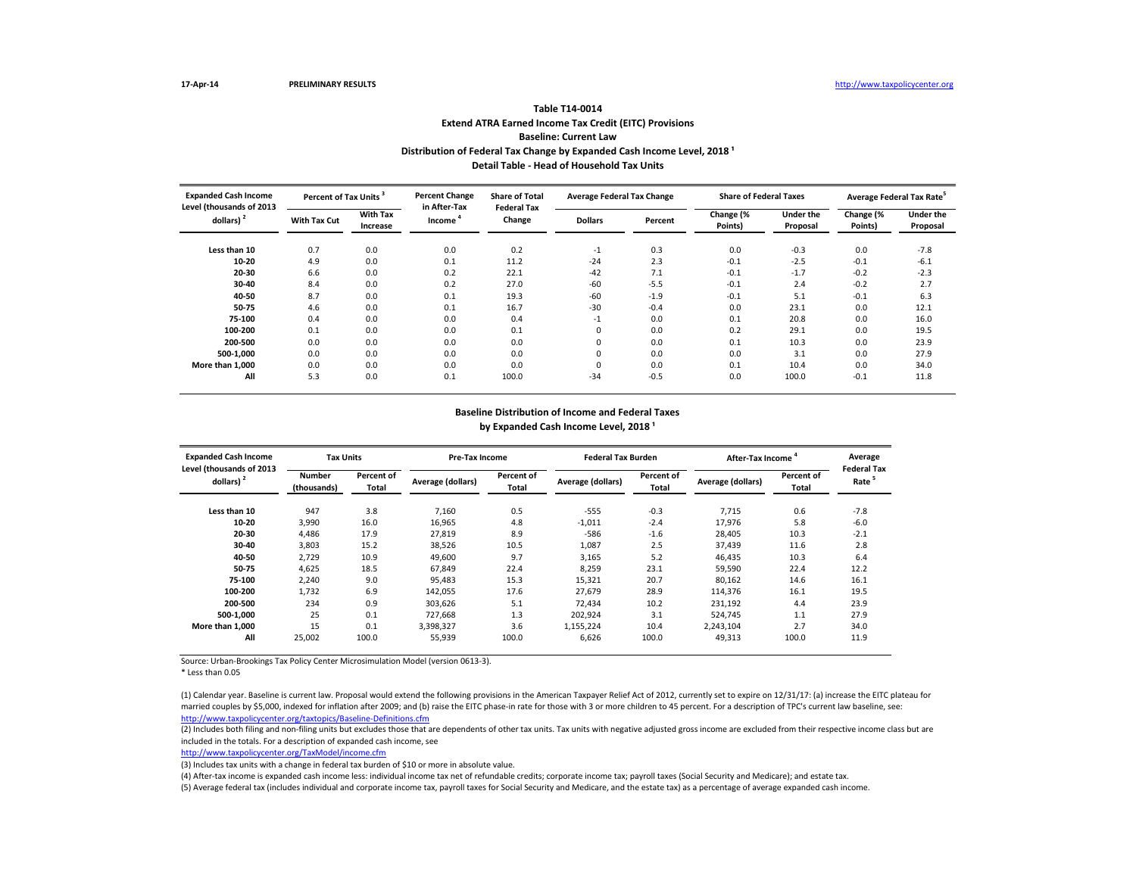# **Extend ATRA Earned Income Tax Credit (EITC) Provisions Baseline: Current Law Table T14-0014** Distribution of Federal Tax Change by Expanded Cash Income Level, 2018<sup>1</sup> **Detail Table - Head of Household Tax Units**

| <b>Expanded Cash Income</b>              | Percent of Tax Units <sup>3</sup> |                             | <b>Percent Change</b><br>in After-Tax | <b>Share of Total</b><br><b>Federal Tax</b> | <b>Average Federal Tax Change</b> |         | <b>Share of Federal Taxes</b> |                              | Average Federal Tax Rate <sup>5</sup> |                              |  |
|------------------------------------------|-----------------------------------|-----------------------------|---------------------------------------|---------------------------------------------|-----------------------------------|---------|-------------------------------|------------------------------|---------------------------------------|------------------------------|--|
| Level (thousands of 2013<br>dollars) $2$ | <b>With Tax Cut</b>               | <b>With Tax</b><br>Increase | Income                                | Change                                      | <b>Dollars</b>                    | Percent | Change (%<br>Points)          | <b>Under the</b><br>Proposal | Change (%<br>Points)                  | <b>Under the</b><br>Proposal |  |
| Less than 10                             | 0.7                               | 0.0                         | 0.0                                   | 0.2                                         | $-1$                              | 0.3     | 0.0                           | $-0.3$                       | 0.0                                   | $-7.8$                       |  |
| 10-20                                    | 4.9                               | 0.0                         | 0.1                                   | 11.2                                        | $-24$                             | 2.3     | $-0.1$                        | $-2.5$                       | $-0.1$                                | $-6.1$                       |  |
| 20-30                                    | 6.6                               | 0.0                         | 0.2                                   | 22.1                                        | $-42$                             | 7.1     | $-0.1$                        | $-1.7$                       | $-0.2$                                | $-2.3$                       |  |
| 30-40                                    | 8.4                               | 0.0                         | 0.2                                   | 27.0                                        | $-60$                             | $-5.5$  | $-0.1$                        | 2.4                          | $-0.2$                                | 2.7                          |  |
| 40-50                                    | 8.7                               | 0.0                         | 0.1                                   | 19.3                                        | $-60$                             | $-1.9$  | $-0.1$                        | 5.1                          | $-0.1$                                | 6.3                          |  |
| 50-75                                    | 4.6                               | 0.0                         | 0.1                                   | 16.7                                        | $-30$                             | $-0.4$  | 0.0                           | 23.1                         | 0.0                                   | 12.1                         |  |
| 75-100                                   | 0.4                               | 0.0                         | 0.0                                   | 0.4                                         | $-1$                              | 0.0     | 0.1                           | 20.8                         | 0.0                                   | 16.0                         |  |
| 100-200                                  | 0.1                               | 0.0                         | 0.0                                   | 0.1                                         | 0                                 | 0.0     | 0.2                           | 29.1                         | 0.0                                   | 19.5                         |  |
| 200-500                                  | 0.0                               | 0.0                         | 0.0                                   | 0.0                                         | 0                                 | 0.0     | 0.1                           | 10.3                         | 0.0                                   | 23.9                         |  |
| 500-1.000                                | 0.0                               | 0.0                         | 0.0                                   | 0.0                                         | 0                                 | 0.0     | 0.0                           | 3.1                          | 0.0                                   | 27.9                         |  |
| More than 1.000                          | 0.0                               | 0.0                         | 0.0                                   | 0.0                                         | 0                                 | 0.0     | 0.1                           | 10.4                         | 0.0                                   | 34.0                         |  |
| All                                      | 5.3                               | 0.0                         | 0.1                                   | 100.0                                       | $-34$                             | $-0.5$  | 0.0                           | 100.0                        | $-0.1$                                | 11.8                         |  |

## **Baseline Distribution of Income and Federal Taxes** by Expanded Cash Income Level, 2018<sup>1</sup>

| <b>Expanded Cash Income</b><br>Level (thousands of 2013 | <b>Tax Units</b>             |                     | Pre-Tax Income    |                     | <b>Federal Tax Burden</b> |                     | After-Tax Income  | Average<br><b>Federal Tax</b> |                   |
|---------------------------------------------------------|------------------------------|---------------------|-------------------|---------------------|---------------------------|---------------------|-------------------|-------------------------------|-------------------|
| dollars) $2$                                            | <b>Number</b><br>(thousands) | Percent of<br>Total | Average (dollars) | Percent of<br>Total | Average (dollars)         | Percent of<br>Total | Average (dollars) | Percent of<br>Total           | Rate <sup>5</sup> |
| Less than 10                                            | 947                          | 3.8                 | 7.160             | 0.5                 | $-555$                    | $-0.3$              | 7.715             | 0.6                           | $-7.8$            |
| 10-20                                                   | 3,990                        | 16.0                | 16,965            | 4.8                 | $-1,011$                  | $-2.4$              | 17,976            | 5.8                           | $-6.0$            |
| 20-30                                                   | 4.486                        | 17.9                | 27,819            | 8.9                 | $-586$                    | $-1.6$              | 28,405            | 10.3                          | $-2.1$            |
| 30-40                                                   | 3,803                        | 15.2                | 38.526            | 10.5                | 1,087                     | 2.5                 | 37.439            | 11.6                          | 2.8               |
| 40-50                                                   | 2,729                        | 10.9                | 49,600            | 9.7                 | 3,165                     | 5.2                 | 46,435            | 10.3                          | 6.4               |
| 50-75                                                   | 4,625                        | 18.5                | 67.849            | 22.4                | 8,259                     | 23.1                | 59,590            | 22.4                          | 12.2              |
| 75-100                                                  | 2,240                        | 9.0                 | 95.483            | 15.3                | 15,321                    | 20.7                | 80,162            | 14.6                          | 16.1              |
| 100-200                                                 | 1,732                        | 6.9                 | 142,055           | 17.6                | 27,679                    | 28.9                | 114,376           | 16.1                          | 19.5              |
| 200-500                                                 | 234                          | 0.9                 | 303.626           | 5.1                 | 72.434                    | 10.2                | 231,192           | 4.4                           | 23.9              |
| 500-1.000                                               | 25                           | 0.1                 | 727.668           | 1.3                 | 202,924                   | 3.1                 | 524.745           | 1.1                           | 27.9              |
| More than 1,000                                         | 15                           | 0.1                 | 3.398.327         | 3.6                 | 1,155,224                 | 10.4                | 2,243,104         | 2.7                           | 34.0              |
| All                                                     | 25,002                       | 100.0               | 55,939            | 100.0               | 6,626                     | 100.0               | 49,313            | 100.0                         | 11.9              |

Source: Urban-Brookings Tax Policy Center Microsimulation Model (version 0613-3).

\* Less than 0.05

<http://www.taxpolicycenter.org/taxtopics/Baseline-Definitions.cfm> (1) Calendar year. Baseline is current law. Proposal would extend the following provisions in the American Taxpayer Relief Act of 2012, currently set to expire on 12/31/17: (a) increase the EITC plateau for married couples by \$5,000, indexed for inflation after 2009; and (b) raise the EITC phase-in rate for those with 3 or more children to 45 percent. For a description of TPC's current law baseline, see:

(2) Includes both filing and non-filing units but excludes those that are dependents of other tax units. Tax units with negative adjusted gross income are excluded from their respective income class but are included in the totals. For a description of expanded cash income, see

[http://www.taxpolicycente](http://www.taxpolicycenter.org/TaxModel/income.cfm)r.org/TaxModel/income.cfm

(3) Includes tax units with a change in federal tax burden of \$10 or more in absolute value.

(4) After-tax income is expanded cash income less: individual income tax net of refundable credits; corporate income tax; payroll taxes (Social Security and Medicare); and estate tax.